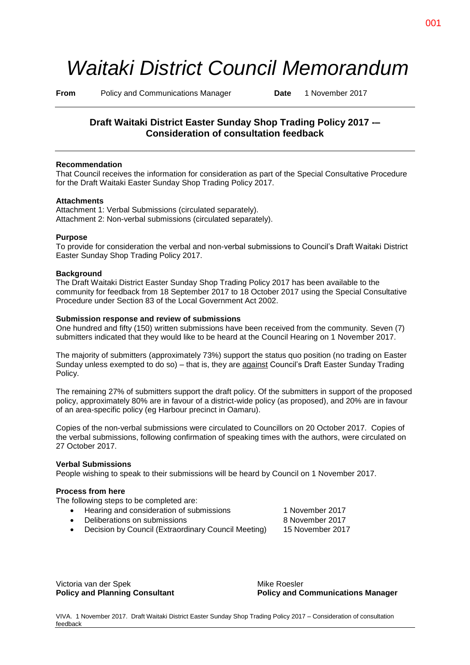# *Waitaki District Council Memorandum*

**From** Policy and Communications Manager **Date** 1 November 2017

# **Draft Waitaki District Easter Sunday Shop Trading Policy 2017 -– Consideration of consultation feedback**

# **Recommendation**

That Council receives the information for consideration as part of the Special Consultative Procedure for the Draft Waitaki Easter Sunday Shop Trading Policy 2017.

# **Attachments**

Attachment 1: Verbal Submissions (circulated separately). Attachment 2: Non-verbal submissions (circulated separately).

# **Purpose**

To provide for consideration the verbal and non-verbal submissions to Council's Draft Waitaki District Easter Sunday Shop Trading Policy 2017.

#### **Background**

The Draft Waitaki District Easter Sunday Shop Trading Policy 2017 has been available to the community for feedback from 18 September 2017 to 18 October 2017 using the Special Consultative Procedure under Section 83 of the Local Government Act 2002.

# **Submission response and review of submissions**

One hundred and fifty (150) written submissions have been received from the community. Seven (7) submitters indicated that they would like to be heard at the Council Hearing on 1 November 2017.

The majority of submitters (approximately 73%) support the status quo position (no trading on Easter Sunday unless exempted to do so) – that is, they are against Council's Draft Easter Sunday Trading Policy.

The remaining 27% of submitters support the draft policy. Of the submitters in support of the proposed policy, approximately 80% are in favour of a district-wide policy (as proposed), and 20% are in favour of an area-specific policy (eg Harbour precinct in Oamaru).

Copies of the non-verbal submissions were circulated to Councillors on 20 October 2017. Copies of the verbal submissions, following confirmation of speaking times with the authors, were circulated on 27 October 2017.

#### **Verbal Submissions**

People wishing to speak to their submissions will be heard by Council on 1 November 2017.

#### **Process from here**

The following steps to be completed are:

- Hearing and consideration of submissions 1 November 2017
- Deliberations on submissions 8 November 2017
- Decision by Council (Extraordinary Council Meeting) 15 November 2017

Victoria van der Spek Mike Roesler

**Policy and Planning Consultant Policy and Communications Manager**

VIVA. 1 November 2017. Draft Waitaki District Easter Sunday Shop Trading Policy 2017 – Consideration of consultation feedback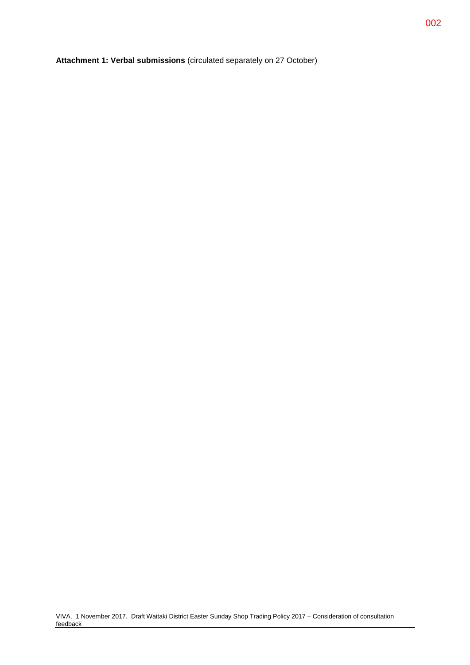**Attachment 1: Verbal submissions** (circulated separately on 27 October)